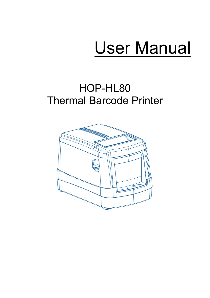# User Manual

# HOP-HL80 Thermal Barcode Printer

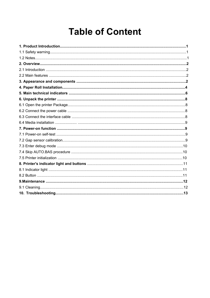# **Table of Content**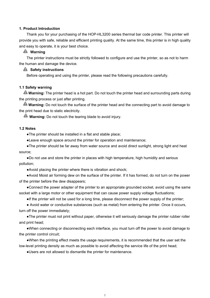#### <span id="page-2-0"></span>**1. Product Introduction**

Thank you for your purchasing of the HOP-HL3200 series thermal bar code printer. This printer will provide you with safe, reliable and efficient printing quality. At the same time, this printer is in high quality and easy to operate, it is your best choice.

#### **Warning**

The printer instructions must be strictly followed to configure and use the printer, so as not to harm the human and damage the device.

#### **A** Safety instructions

Before operating and using the printer, please read the following precautions carefully.

#### <span id="page-2-1"></span>**1.1 Safety warning**

**Warning:** The printer head is a hot part. Do not touch the printer head and surrounding parts during the printing process or just after printing.

**Warning:** Do not touch the surface of the printer head and the connecting part to avoid damage to the print head due to static electricity.

**Warning:** Do not touch the tearing blade to avoid injury.

#### <span id="page-2-2"></span>**1.2 Notes**

●The printer should be installed in a flat and stable place;

●Leave enough space around the printer for operation and maintenance;

●The printer should be far away from water source and avoid direct sunlight, strong light and heat source;

●Do not use and store the printer in places with high temperature, high humidity and serious pollution;

●Avoid placing the printer where there is vibration and shock;

●Avoid Moist air forming dew on the surface of the printer. If it has formed, do not turn on the power of the printer before the dew disappears;

●Connect the power adapter of the printer to an appropriate grounded socket, avoid using the same socket with a large motor or other equipment that can cause power supply voltage fluctuations;

●If the printer will not be used for a long time, please disconnect the power supply of the printer;

● Avoid water or conductive substances (such as metal) from entering the printer. Once it occurs, turn off the power immediately;

●The printer must not print without paper, otherwise it will seriously damage the printer rubber roller and print head;

●When connecting or disconnecting each interface, you must turn off the power to avoid damage to the printer control circuit;

●When the printing effect meets the usage requirements, it is recommended that the user set the low-level printing density as much as possible to avoid affecting the service life of the print head;

●Users are not allowed to dismantle the printer for maintenance.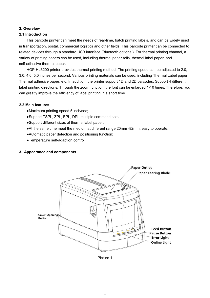#### <span id="page-3-0"></span>**2. Overview**

#### <span id="page-3-1"></span>**2.1 Introduction**

This barcode printer can meet the needs of real-time, batch printing labels, and can be widely used in transportation, postal, commercial logistics and other fields. This barcode printer can be connected to related devices through a standard USB interface (Bluetooth optional). For thermal printing channel, a variety of printing papers can be used, including thermal paper rolls, thermal label paper, and self-adhesive thermal paper.

HOP-HL3200 printer provides thermal printing method. The printing speed can be adjusted to 2.0, 3.0, 4.0, 5.0 inches per second. Various printing materials can be used, including Thermal Label paper, Thermal adhesive paper, etc. In addition, the printer support 1D and 2D barcodes. Support 4 different label printing directions. Through the zoom function, the font can be enlarged 1-10 times. Therefore, you can greatly improve the efficiency of label printing in a short time.

#### <span id="page-3-2"></span>**2.2 Main features**

- ●Maximum printing speed 5 inch/sec;
- ●Support TSPL, ZPL, EPL, DPL multiple command sets;
- ●Support different sizes of thermal label paper;
- ●At the same time meet the medium at different range 20mm -82mm, easy to operate;
- ●Automatic paper detection and positioning function;
- ●Temperature self-adaption control;

#### <span id="page-3-3"></span>**3. Appearance and components**



Picture 1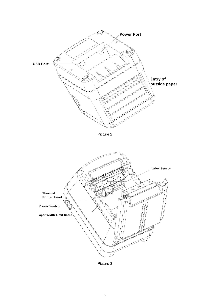

Picture 3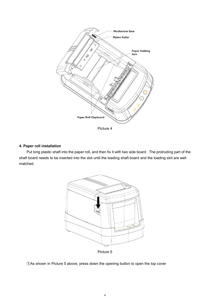

#### <span id="page-5-0"></span>**4. Paper roll installation**

Put long plastic shaft into the paper roll, and then fix it with two side board . The protruding part of the shaft board needs to be inserted into the slot until the loading shaft board and the loading slot are well matched.



Picture 5

①As shown in Picture 5 above, press down the opening button to open the top cover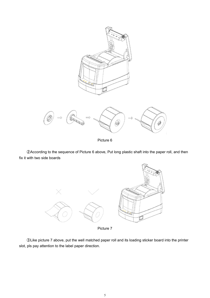

②According to the sequence of Picture 6 above, Put long plastic shaft into the paper roll, and then fix it with two side boards



Picture 7

③Like picture 7 above, put the well matched paper roll and its loading sticker board into the printer slot, pls pay attention to the label paper direction.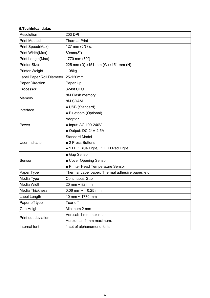# <span id="page-7-0"></span>**5.Techinical datas**

| Resolution                | 203 DPI                                          |  |  |
|---------------------------|--------------------------------------------------|--|--|
| <b>Print Method</b>       | <b>Thermal Print</b>                             |  |  |
| Print Speed(Max)          | 127 mm (5") / s,                                 |  |  |
| Print Width(Max)          | 80mm(3")                                         |  |  |
| Print Length(Max)         | 1770 mm (70")                                    |  |  |
| <b>Printer Size</b>       | 225 mm (D) x151 mm (W) x151 mm (H)               |  |  |
| Printer Weight            | 1.08kg                                           |  |  |
| Label Paper Roll Diameter | 25-120mm                                         |  |  |
| <b>Paper Direction</b>    | Paper Up                                         |  |  |
| Processor                 | 32-bit CPU                                       |  |  |
|                           | 8M Flash memory                                  |  |  |
| Memory                    | 8M SDAM                                          |  |  |
| Interface                 | USB (Standard)                                   |  |  |
|                           | Bluetooth (Optional)                             |  |  |
|                           | Adaptor                                          |  |  |
| ∣Power                    | ■ Input: AC 100-240V                             |  |  |
|                           | Output: DC 24V-2.5A                              |  |  |
|                           | <b>Standard Model</b>                            |  |  |
| User Indicator            | ■ 2 Press Buttons                                |  |  |
|                           | ■ 1 LED Blue Light、1 LED Red Light               |  |  |
|                           | ■ Gap Sensor                                     |  |  |
| Sensor                    | Cover Opening Sensor                             |  |  |
|                           | ■ Printer Head Temperature Sensor                |  |  |
| Paper Type                | Thermal Label paper, Thermal adhesive paper, etc |  |  |
| Media Type                | Continuous, Gap                                  |  |  |
| Media Width               | 20 mm ~ 82 mm                                    |  |  |
| <b>Media Thickness</b>    | $0.06$ mm ~ 0.25 mm                              |  |  |
| Label Length              | 10 mm ~ 1770 mm                                  |  |  |
| Paper off type            | Tear off                                         |  |  |
| Gap Height                | Minimum 2 mm                                     |  |  |
| Print out deviation       | Vertical: 1 mm maximum.                          |  |  |
|                           | Horizontal: 1 mm maximum.                        |  |  |
| Internal font             | 1 set of alphanumeric fonts                      |  |  |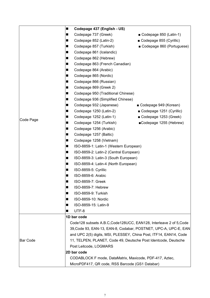|           | Codepage 437 (English - US)<br>ш                                  |                                                                    |  |
|-----------|-------------------------------------------------------------------|--------------------------------------------------------------------|--|
|           | Codepage 737 (Greek)<br>П                                         | Codepage 850 (Latin-1)                                             |  |
|           | Codepage 852 (Latin-2)<br>П                                       | Codepage 855 (Cyrillic)                                            |  |
|           | Codepage 857 (Turkish)<br>$\blacksquare$                          | Codepage 860 (Portuguese)                                          |  |
|           | Codepage 861 (Icelandic)<br>ш                                     |                                                                    |  |
|           | Codepage 862 (Hebrew)<br>П                                        |                                                                    |  |
|           | Codepage 863 (French Canadian)<br>П                               |                                                                    |  |
|           | Codepage 864 (Arabic)<br>$\blacksquare$                           |                                                                    |  |
|           | Codepage 865 (Nordic)<br>$\blacksquare$                           |                                                                    |  |
|           | Codepage 866 (Russian)<br>п                                       |                                                                    |  |
|           | Codepage 869 (Greek 2)<br>п                                       |                                                                    |  |
|           | Codepage 950 (Traditional Chinese)<br>$\blacksquare$              |                                                                    |  |
|           | $\blacksquare$<br>Codepage 936 (Simplified Chinese)               |                                                                    |  |
|           | Codepage 932 (Japanese)<br>П                                      | ■ Codepage 949 (Korean)                                            |  |
|           | Codepage 1250 (Latin-2)<br>П                                      | Codepage 1251 (Cyrillic)                                           |  |
|           | Codepage 1252 (Latin-1)<br>П                                      | Codepage 1253 (Greek)                                              |  |
| Code Page | Codepage 1254 (Turkish)<br>п                                      | ■Codepage 1255 (Hebrew)                                            |  |
|           | Codepage 1256 (Arabic)<br>■                                       |                                                                    |  |
|           | Codepage 1257 (Baltic)<br>П                                       |                                                                    |  |
|           | Codepage 1258 (Vietnam)<br>$\blacksquare$                         |                                                                    |  |
|           | ISO-8859-1: Latin-1 (Western European)<br>ш                       |                                                                    |  |
|           | ISO-8859-2: Latin-2 (Central European)<br>$\blacksquare$          |                                                                    |  |
|           | ISO-8859-3: Latin-3 (South European)<br>$\blacksquare$            |                                                                    |  |
|           | ISO-8859-4: Latin-4 (North European)<br>$\blacksquare$            |                                                                    |  |
|           | ISO-8859-5: Cyrillic<br>ш                                         |                                                                    |  |
|           | ISO-8859-6: Arabic<br>$\blacksquare$                              |                                                                    |  |
|           | ISO-8859-7: Greek<br>П                                            |                                                                    |  |
|           | ISO-8859-7: Hebrew<br>■                                           |                                                                    |  |
|           | ISO-8859-9: Turkish<br>п                                          |                                                                    |  |
|           | ISO-8859-10: Nordic<br>п                                          |                                                                    |  |
|           | ISO-8859-15: Latin-9<br>■                                         |                                                                    |  |
|           | UTF-8<br>ш                                                        |                                                                    |  |
|           | 1D bar code                                                       |                                                                    |  |
|           |                                                                   | Code128 subsets A.B.C, Code128UCC, EAN128, Interleave 2 of 5, Code |  |
|           | 39, Code 93, EAN-13, EAN-8, Codabar, POSTNET, UPC-A, UPC-E, EAN   |                                                                    |  |
|           | and UPC 2(5) digits, MSI, PLESSEY, China Post, ITF14, EAN14, Code |                                                                    |  |
| Bar Code  | 11, TELPEN, PLANET, Code 49, Deutsche Post Identcode, Deutsche    |                                                                    |  |
|           | Post Leitcode, LOGMARS                                            |                                                                    |  |
|           | 2D bar code                                                       |                                                                    |  |
|           | CODABLOCK F mode, DataMatrix, Maxicode, PDF-417, Aztec,           |                                                                    |  |
|           | MicroPDF417, QR code, RSS Barcode (GS1 Databar)                   |                                                                    |  |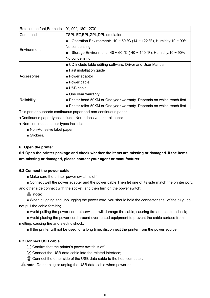| $ 0^\circ, 90^\circ, 180^\circ, 270^\circ$<br>Rotation on font, Bar code |                                                                                               |  |
|--------------------------------------------------------------------------|-----------------------------------------------------------------------------------------------|--|
| TSPL-EZ, EPL, ZPL, DPL emulation<br>Command                              |                                                                                               |  |
|                                                                          | <b>Dependence 10 - 30 °C (14 - 122 °F), Humidity:10 - 90% n</b>                               |  |
| <b>Environment</b>                                                       | No condensing                                                                                 |  |
|                                                                          | <b>■</b> Storage Environment: -40 ~ 60 °C (-40 ~ 140 °F), Humidity:10 ~ 90%                   |  |
|                                                                          | No condensing                                                                                 |  |
|                                                                          | <b>D</b> CD include lable editing software, Driver and User Manual                            |  |
|                                                                          | $\blacktriangleright$ Fast installation guide                                                 |  |
| Accessories                                                              | <b>■ Power adaptor</b>                                                                        |  |
|                                                                          | l∎ Power cable                                                                                |  |
|                                                                          | I∎ USB cable                                                                                  |  |
|                                                                          | $\blacksquare$ One year warranty                                                              |  |
| Reliability                                                              | $\blacktriangleright$ Printer head 50KM or One year warranty. Depends on which reach first.   |  |
|                                                                          | $\blacktriangleright$ Printer roller 50KM or One year warranty. Depends on which reach first. |  |

This printer supports continuous paper and non-continuous paper.

●Continuous paper types include: Non-adhesive strip roll paper.

- Non-continuous paper types include:
	- Non-Adhesive label paper:
	- Stickers

#### <span id="page-9-0"></span>**6. Open the printer**

<span id="page-9-1"></span>**6.1 Open the printer package and check whether the items are missing or damaged. If the items are missing or damaged,please contact your agent or manufacturer.**

#### <span id="page-9-2"></span>**6.2 Connect the powercable**

■ Make sure the printer power switch is off;

■ Connect well the power adapter and the power cable, Then let one of its side match the printer port, and other side connect with the socket, and then turn on the power switch;

# **note:**

■ When plugging and unplugging the power cord, you should hold the connector shell of the plug, do not pull the cable forcibly;

■ Avoid pulling the power cord, otherwise it will damage the cable, causing fire and electric shock;

■ Avoid placing the power cord around overheated equipment to prevent the cable surface from melting, causing fire and electric shock;

■ If the printer will not be used for a long time, disconnect the printer from the power source.

# <span id="page-9-3"></span>**6.3 Connect USB cable**

- $\Omega$  Confirm that the printer's power switch is off;
- ② Connect the USB data cable into the related interface;
- ③ Connect the other side of the USB data cable to the host computer.

**A** note: Do not plug or unplug the USB data cable when power on.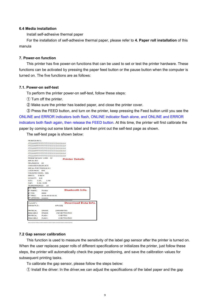#### <span id="page-10-0"></span>**6.4 Media installation**

Install self-adhesive thermal paper

For the installation of self-adhesive thermal paper, please refer to **4. Paper roll installation** of this manula

#### <span id="page-10-1"></span>**7. Power-on function**

This printer has five power-on functions that can be used to set or test the printer hardware. These functions can be activated by pressing the paper feed button or the pause button when the computer is turned on. The five functions are as follows:

#### <span id="page-10-2"></span>**7.1. Power-on self-test**

To perform the printer power-on self-test, follow these steps:

- ① Turn off the printer.
- ② Make sure the printer has loaded paper, and close the printer cover.

③ Press the FEED button, and turn on the printer, keep pressing the Feed button until you see the ONLINE and ERROR indicators both flash, ONLINE indicator flash alone, and ONLINE and ERROR indicators both flash again, then release the FEED button. At this time, the printer will first calibrate the paper by coming out some blank label and then print out the self-test page as shown.

The self-test page is shown below:

| PRINTER INFO.              |                           |                                       |
|----------------------------|---------------------------|---------------------------------------|
|                            |                           |                                       |
|                            |                           |                                       |
|                            |                           |                                       |
|                            |                           |                                       |
|                            |                           |                                       |
|                            |                           |                                       |
|                            | Printer Version: 1.006 EZ |                                       |
| <b>SERIAL NO:</b>          |                           | <b>Printer Details</b>                |
| MILAGE(m): 24              |                           |                                       |
| CHECKSUN:FA2914C5          |                           |                                       |
| SERIAL PORT: 9600, N, 8, 1 |                           |                                       |
| CODE PAGE: 850             |                           |                                       |
| COUNTRY CODE: 001          |                           |                                       |
| SPEED: 3 INCH              |                           |                                       |
| DENSITY: 8.0               |                           |                                       |
| SIZE: 3.15, 1.90           |                           |                                       |
| GAP: 0.14, 0.00            |                           |                                       |
| TRANSPARENCE:              | 13                        |                                       |
| <b>RT: YFS</b>             |                           |                                       |
| BT NAME: Printer           |                           | <b>Bluetooth Info.</b>                |
| BT PIN:                    | 0000                      |                                       |
| <b>BT MAC:</b>             | XX-XX-XX-XX-XX-XX         |                                       |
| <b>BTVERSION: XXXXXXX</b>  |                           |                                       |
|                            |                           | ************************************* |
| FILE LIST:                 |                           | Download Data Info.                   |
| <b>DRAMFILE:</b>           |                           | O FILE(S)                             |
| PHYSICAL                   | DRAM:                     | 2048 KBYTES                           |
|                            | AVAILABLE DRAM:           | 256 KBYTES FREE                       |
|                            |                           |                                       |
| PHYSICAL FLASH:            |                           | <b>O KBYTES</b>                       |

#### <span id="page-10-3"></span>**7.2 Gap sensor calibration**

This function is used to measure the sensitivity of the labelgap sensor after the printer is turned on. When the user replaces paper rolls of different specifications or initializes the printer, just follow these steps, the printer will automatically check the paper positioning, and save the calibration values for subsequent printing tasks.

To calibrate the gap sensor, please follow the steps below:

① Install the driver: In the driver,we can adjust the specifications of the label paper and the gap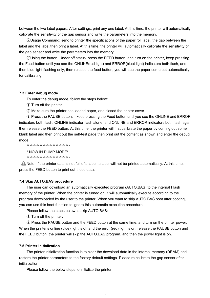between the two label papers. After settings, print any one label. At this time, the printer will automatically calibrate the sensitivity of the gap sensor and write the parameters into the memory.

2 Usage Command: send to printer the specifications of the paper roll label, the gap between the label and the label,then print a label. At this time, the printer will automatically calibrate the sensitivity of the gap sensor and write the parameters into the memory.

③Using the button: Under off status, press the FEED button, and turn on the printer, keep pressing the Feed button until you see the ONLINE(red light) and ERROR(bluet light) indicators both flash, and then blue light flashing only, then release the feed button, you will see the paper come out automatically for calibrating.

#### <span id="page-11-0"></span>**7.3 Enter debug mode**

To enter the debug mode, follow the steps below:

- ① Turn off the printer.
- ② Make sure the printer has loaded paper, and closed the printer cover.

③ Press the PAUSE button, keep pressing the Feed button until you see the ONLINE and ERROR indicators both flash, ONLINE indicator flash alone, and ONLINE and ERROR indicators both flash again, then release the FEED button. At this time, the printer will first calibrate the paper by coming out some blank label and then print out the self-test page,then print out the content as shown and enter the debug mode.

\*\*\*\*\*\*\*\*\*\*\*\*\*\*\*\*\*\*\*\*\*\*\*\*\*\*\*\*\*\*

\* NOW IN DUMP MODE\*

\*\*\*\*\*\*\*\*\*\*\*\*\*\*\*\*\*\*\*\*\*\*\*\*\*\*\*\*\*\*

A Note: If the printer data is not full of a label, a label will not be printed automatically. At this time, press the FEED button to print out these data.

#### **7.4 Skip AUTO.BAS procedure**

The user can download an automatically executed program (AUTO.BAS) to the internal Flash memory of the printer. When the printer is turned on, it will automatically execute according to the program downloaded by the user to the printer. When you want to skip AUTO.BAS boot after booting, you can use this boot function to ignore this automatic execution procedure.

Please follow the steps below to skip AUTO.BAS:

① Turn off the printer.

② Press the PAUSE button and the FEED button at the same time, and turn on the printer power. When the printer's online (blue) light is off and the error (red) light is on, release the PAUSE button and the FEED button, the printer will skip the AUTO.BAS program, and then the power light is on.

#### <span id="page-11-1"></span>**7.5 Printer initialization**

The printer initialization function is to clear the download data in the internal memory (DRAM) and restore the printer parameters to the factory default settings. Please re calibrate the gap sensor after initialization.

Please follow the below steps to initialize the printer: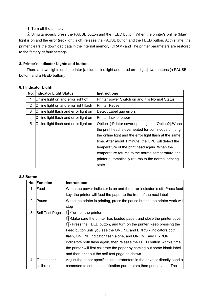① Turn off the printer.

② Simultaneously press the PAUSE button and the FEED button. When the printer's online (blue) light is on and the error (red) light is off, release the PAUSE button and the FEED button. At this time, the printer clears the download data in the internal memory (DRAM) and The printer parameters are restored to the factory default settings.

# <span id="page-12-0"></span>**8. Printer's Indicator Lights and buttons**

There are two lights on the printer [a blue online light and a red error light], two buttons [a PAUSE button, and a FEED button].

# <span id="page-12-1"></span>**8.1 Indicator Light**:

|   | No. Indicator Light Status            | <b>Instructions</b>                                    |  |
|---|---------------------------------------|--------------------------------------------------------|--|
|   | Online light on and error light off   | Printer power Switch on and it is Normal Status.       |  |
| 2 | Online light on and error light flash | <b>Printer Pause</b>                                   |  |
| 3 | Online light flash and error light on | Detect Label gap errors                                |  |
| 4 | Online light flash and error light on | Printer lack of paper                                  |  |
| 5 | Online light flash and error light on | Option1): Printer cover opening<br>Option2): When      |  |
|   |                                       | the print head is overheated for continuous printing,  |  |
|   |                                       | the online light and the error light flash at the same |  |
|   |                                       | time. After about 1 minute, the CPU will detect the    |  |
|   |                                       | temperature of the print head again. When the          |  |
|   |                                       | temperature returns to the normal temperature, the     |  |
|   |                                       | printer automatically returns to the normal printing   |  |
|   |                                       | state                                                  |  |

# **8.2 Button**:

<span id="page-12-2"></span>

|                                                    | No. Function | <b>Instructions</b>                                                         |
|----------------------------------------------------|--------------|-----------------------------------------------------------------------------|
| 1                                                  | Feed         | When the power indicator is on and the error indicator is off, Press feed   |
|                                                    |              | key, the printer will feed the paper to the front of the next label         |
| $\overline{2}$                                     | Pause        | When the printer is printing, press the pause button, the printer work will |
|                                                    |              | stop                                                                        |
| 3<br>Self Test Page<br>$(1)$ Turn off the printer. |              |                                                                             |
|                                                    |              | (2) Make sure the printer has loaded paper, and close the printer cover.    |
|                                                    |              | 3) Press the FEED button, and turn on the printer, keep pressing the        |
|                                                    |              | Feed button until you see the ONLINE and ERROR indicators both              |
|                                                    |              | flash, ONLINE indicator flash alone, and ONLINE and ERROR                   |
|                                                    |              | indicators both flash again, then release the FEED button. At this time,    |
|                                                    |              | the printer will first calibrate the paper by coming out some blank label   |
|                                                    |              | and then print out the self-test page as shown.                             |
| 4                                                  | Gap sensor   | Adjust the paper specification parameters in the drive or directly send a   |
|                                                    | calibration  | command to set the specification parameters, then print a label. The        |
|                                                    |              |                                                                             |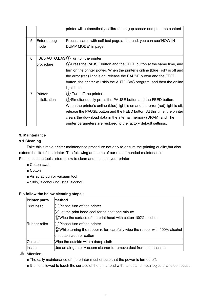|   |                | printer will automatically calibrate the gap sensor and print the content.     |
|---|----------------|--------------------------------------------------------------------------------|
| 5 | Enter debug    | Process same with self test page, at the end, you can see"NOW IN               |
|   | ∣mode          | DUMP MODE" in page                                                             |
| 6 |                | Skip AUTO.BAS $(1)$ Turn off the printer.                                      |
|   | procedure      | (2) Press the PAUSE button and the FEED button at the same time, and           |
|   |                | turn on the printer power. When the printer's online (blue) light is off and   |
|   |                | the error (red) light is on, release the PAUSE button and the FEED             |
|   |                | button, the printer will skip the AUTO.BAS program, and then the online        |
|   |                | light is on.                                                                   |
| 7 | Printer        | $(1)$ Turn off the printer.                                                    |
|   | initialization | (2) Simultaneously press the PAUSE button and the FEED button.                 |
|   |                | When the printer's online (blue) light is on and the error (red) light is off, |
|   |                | release the PAUSE button and the FEED button. At this time, the printer        |
|   |                | clears the download data in the internal memory (DRAM) and The                 |
|   |                | printer parameters are restored to the factory default settings.               |

# <span id="page-13-0"></span>**9. Maintenance**

# <span id="page-13-1"></span>**9.1 Cleaning**

Take this simple printer maintenance procedure not only to ensure the printing quality,but also extend the life of the printer. The following are some of our recommended maintenance. Please use the tools listed below to clean and maintain your printer:

- Cotton swab
- Cotton
- Air spray gun or vacuum tool
- 100% alcohol (industrial alcohol)

# **Pls follow the below cleaning steps :**

| <b>Printer parts</b> | method                                                                                     |  |
|----------------------|--------------------------------------------------------------------------------------------|--|
| <b>Print head</b>    | $(1)$ Please turn off the printer<br>$(2)$ Let the print head cool for at least one minute |  |
|                      |                                                                                            |  |
|                      | $\langle 3 \rangle$ Wipe the surface of the print head with cotton 100% alcohol            |  |
| Rubber roller        | $(1)$ Please turn off the printer                                                          |  |
|                      | $ 2\rangle$ While turning the rubber roller, carefully wipe the rubber with 100% alcohol   |  |
|                      | on cotton cloth or cotton                                                                  |  |
| Outside              | Wipe the outside with a damp cloth                                                         |  |
| Inside               | Use an air gun or vacuum cleaner to remove dust from the machine                           |  |

**A** Attention:

- The daily maintenance of the printer must ensure that the power is turned off;
- It is not allowed to touch the surface of the print head with hands and metal objects, and do not use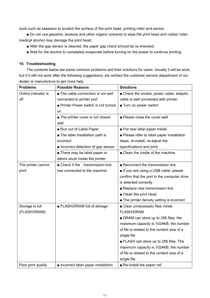tools such as tweezers to scratch the surface of the print head, printing roller and sensor

■ Do not use gasoline, acetone and other organic solvents to wipe the print head and rubber roller, medical alcohol may damage the print head;

- After the gap sensor is cleaned, the paper gap check should be re-checked;
- <span id="page-14-0"></span>■ Wait for the alcohol to completely evaporate before turning on the power to continue printing.

# **10. Troubleshooting**

The contents below are some common problems and their solutions for users. Usually it will be work, but if it still not work after the following suggestions, pls contact the customer service department of our dealer or manufacture to get more help.

| <b>Problems</b>     | <b>Possible Reasons</b>            | <b>Solutions</b>                            |
|---------------------|------------------------------------|---------------------------------------------|
| Online indicator is | The cable connection is not well   | ■ Check the socket, power cable, adaptor    |
| off                 | connected to printer port          | cable is well connected with printer.       |
|                     | Printer Power switch is not turned | Turn on power switch                        |
|                     | on                                 |                                             |
|                     | The printer cover is not closed    | Please close the cover well                 |
|                     | well                               |                                             |
|                     | Run out of Label Paper             | Put new label paper inside                  |
|                     | The label installation path is     | ■ Please refer to label paper installation  |
|                     | incorrect                          | steps, re-install, re-adjust the            |
|                     | Incorrect detection of gap sensor  | specifications and print                    |
|                     | ■ There may be label paper or      | ■ Clean the inside of the machine           |
|                     | debris stuck inside the printer    |                                             |
| The printer cannot  | ■ Check if the transmission line   | Reconnect the transmission line             |
| print               | has connected to the machine       | If you are using a USB cable, please        |
|                     |                                    | confirm that the port in the computer drive |
|                     |                                    | is selected correctly                       |
|                     |                                    | Replace new transmission line               |
|                     |                                    | ■ Clean the print head                      |
|                     |                                    | The printer density setting is incorrect    |
| Storage is full     | ELASH/DRAM full of storage         | ■ Clear unnecessary files inside            |
| (FLASH/DRAM)        |                                    | <b>FLASH/DRAM</b>                           |
|                     |                                    | ■ DRAM can store up to 256 files, the       |
|                     |                                    | maximum capacity is 1024KB, the number      |
|                     |                                    | of file is related to the content size of a |
|                     |                                    | single file                                 |
|                     |                                    | ELASH can store up to 256 files, The        |
|                     |                                    | maximum capacity is 1024KB, the number      |
|                     |                                    | of file is related to the content size of a |
|                     |                                    | single file                                 |
| Poor print quality  | Incorrect label paper installation | Re-install the paper roll                   |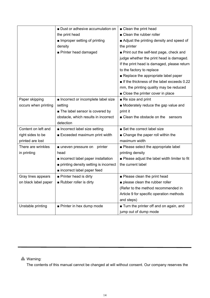|                      | ■ Dust or adhesive accumulation on    | ■ Clean the print head                         |
|----------------------|---------------------------------------|------------------------------------------------|
|                      | the print head                        | ■ Clean the rubber roller                      |
|                      | Improper setting of printing          | Adjust the printing density and speed of       |
|                      | density                               | the printer                                    |
|                      | Printer head damaged                  | Print out the self-test page, check and        |
|                      |                                       | judge whether the print head is damaged.       |
|                      |                                       | If the print head is damaged, please return    |
|                      |                                       | to the factory to replace                      |
|                      |                                       | Replace the appropriate label paper            |
|                      |                                       | If the thickness of the label exceeds 0.22     |
|                      |                                       | mm, the printing quality may be reduced        |
|                      |                                       | ■ Close the printer cover in place             |
| Paper skipping       | Incorrect or incomplete label size    | Re size and print                              |
| occurs when printing | setting                               | Moderately reduce the gap value and            |
|                      | The label sensor is covered by        | print it                                       |
|                      | obstacle, which results in incorrect  | ■ Clean the obstacle on the sensors            |
|                      | detection                             |                                                |
| Content on left and  | Incorrect label size setting          | Set the correct label size                     |
| right sides to be    | Exceeded maximum print width          | ■ Change the paper roll within the             |
| printed are lost     |                                       | maximum width                                  |
| There are wrinkles   | ■ uneven pressure on printer          | • Please select the appropriate label          |
| in printing          | head                                  | printing density                               |
|                      | ■ incorrect label paper installation  | ■ Please adjust the label width limiter to fit |
|                      | printing density setting is incorrect | the current label                              |
|                      | nincorrect label paper feed           |                                                |
| Gray lines appears   | Printer head is dirty                 | Please clean the print head                    |
| on black label paper | Rubber roller is dirty                | please clean the rubber roller                 |
|                      |                                       | (Refer to the method recommended in            |
|                      |                                       | Article 9 for specific operation methods       |
|                      |                                       | and steps)                                     |
| Unstable printing    | Printer in hex dump mode              | ■ Turn the printer off and on again, and       |
|                      |                                       | jump out of dump mode                          |

# **A** Warning:

The contents of this manual cannot be changed atwill without consent. Our company reserves the